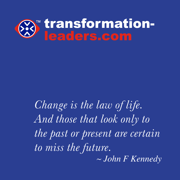

*Change is the law of life. And those that look only to the past or present are certain to miss the future. ~ John F Kennedy*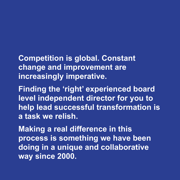**Competition is global. Constant change and improvement are increasingly imperative.** 

**Finding the 'right' experienced board level independent director for you to help lead successful transformation is a task we relish.**

**Making a real difference in this process is something we have been doing in a unique and collaborative way since 2000.**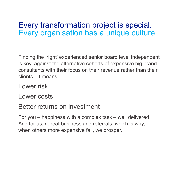#### Every transformation project is special. Every organisation has a unique culture

Finding the 'right' experienced senior board level independent is key, against the alternative cohorts of expensive big brand consultants with their focus on their revenue rather than their clients.. It means.

Lower risk

Lower costs

Better returns on investment

For you – happiness with a complex task – well delivered. And for us, repeat business and referrals, which is why, when others more expensive fail, we prosper.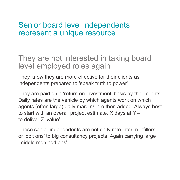#### Senior board level independents represent a unique resource

They are not interested in taking board level employed roles again

They know they are more effective for their clients as independents prepared to 'speak truth to power'.

They are paid on a 'return on investment' basis by their clients. Daily rates are the vehicle by which agents work on which agents (often large) daily margins are then added. Always best to start with an overall project estimate. X days at Y – to deliver Z 'value'.

These senior independents are not daily rate interim infillers or 'bolt ons' to big consultancy projects. Again carrying large 'middle men add ons'.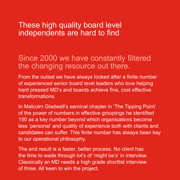#### These high quality board level independents are hard to find

#### Since 2000 we have constantly filtered the changing resource out there.

From the outset we have always looked after a finite number of experienced senior board level leaders who love helping hard pressed MD's and boards achieve fine, cost effective transformations.

In Malcolm Gladwell's seminal chapter in 'The Tipping Point' of the power of numbers in effective groupings he identified 150 as a key number beyond which organisations become less 'personal' and quality of experience both with clients and candidates can suffer. This finite number has always been key to our operational philosophy.

The end result is a faster, better process. No client has the time to wade through lot's of 'might be's' in interview. Classically an MD needs a high grade shortlist interview of three. All keen to win the project.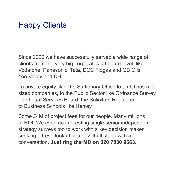### Happy Clients

Since 2000 we have successfully served a wide range of clients from the very big corporates, at board level, like Vodafone, Panasonic, Tata, DCC Flogas and GB Oils, Yeo Valley and DHL.

To private equity like The Stationary Office to ambitious mid sized companies, to the Public Sector like Ordnance Survey, The Legal Services Board, the Solicitors Regulator, to Business Schools like Henley.

Some £4M of project fees for our people. Many millions of ROI. We even do interesting single senior independent strategy surveys too to work with a key decision maker seeking a fresh look at strategy. It all starts with a conversation. **Just ring the MD on 020 7830 9663.**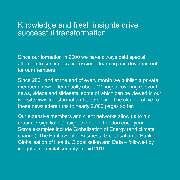#### Knowledge and fresh insights drive successful transformation

Since our formation in 2000 we have always paid special attention to continuous professional learning and development for our members.

Since 2001 and at the end of every month we publish a private members newsletter usually about 12 pages covering relevant news, videos and slidesets, some of which can be viewed in our website www.transformation-leaders.com. The cloud archive for these newsletters runs to nearly 2,000 pages so far.

Our extensive members and client networks allow us to run around 7 significant 'insight events' in London each year. Some examples include Globalisation of Energy (and climate change). The Public Sector Business. Globalisation of Banking. Globalisation of Health. Globalisation and Data – followed by insights into digital security in mid 2016.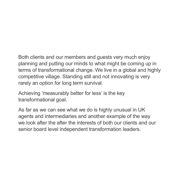Both clients and our members and guests very much enjoy planning and putting our minds to what might be coming up in terms of transformational change. We live in a global and highly competitive village. Standing still and not innovating is very rarely an option for long term survival.

Achieving 'measurably better for less' is the key transformational goal.

As far as we can see what we do is highly unusual in UK agents and intermediaries and another example of the way we look after the after the interests of both our clients and our senior board level independent transformation leaders.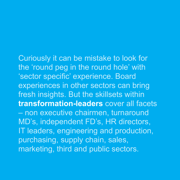Curiously it can be mistake to look for the 'round peg in the round hole' with 'sector specific' experience. Board experiences in other sectors can bring fresh insights. But the skillsets within **transformation-leaders** cover all facets – non executive chairmen, turnaround MD's, independent FD's, HR directors, IT leaders, engineering and production, purchasing, supply chain, sales, marketing, third and public sectors.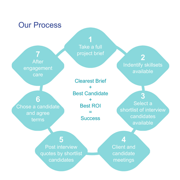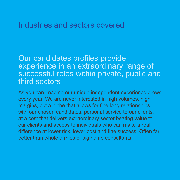#### Industries and sectors covered

#### Our candidates profiles provide experience in an extraordinary range of successful roles within private, public and third sectors

As you can imagine our unique independent experience grows every year. We are never interested in high volumes, high margins, but a niche that allows for fine long relationships with our chosen candidates, personal service to our clients, at a cost that delivers extraordinary sector beating value to our clients and access to individuals who can make a real difference at lower risk, lower cost and fine success. Often far better than whole armies of big name consultants.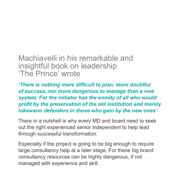#### Machiavelli in his remarkable and insightful book on leadership 'The Prince' wrote

*'There is nothing more difficult to plan, more doubtful of success, nor more dangerous to manage than a new system. For the initiator has the enmity of all who would profit by the preservation of the old institution and merely lukewarm defenders in those who gain by the new ones'* 

There in a nutshell is why every MD and board need to seek out the right experienced senior independent to help lead through successful transformation.

Especially if the project is going to be big enough to require large consultancy help at a later stage. For these big brand consultancy resources can be highly dangerous, if not managed with experience and skill.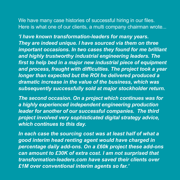We have many case histories of successful hiring in our files. Here is what one of our clients, a multi company chairman wrote...

*'I have known transformation-leaders for many years. They are indeed unique. I have sourced via them on three important occasions. In two cases they found for me brilliant and highly trustworthy industrial engineering leaders. The first to help bed in a major new industrial piece of equipment and process, fraught with difficulties. The project took a year longer than expected but the ROI he delivered produced a dramatic increase in the value of the business, which was subsequently successfully sold at major stockholder return.* 

*The second occasion. On a project which continues was for a highly experienced independent engineering production leader for another of our successful companies. The third project involved very sophisticated digital strategy advice, which continues to this day.*

*In each case the sourcing cost was at least half of what a good interim head renting agent would have charged in percentage daily add-ons. On a £60k project these add-ons can amount to £30K of extra cost. I am not surprised that transformation-leaders.com have saved their clients over £1M over conventional interim agents so far.'*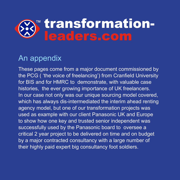### ⊗™ transformation-<br>Neaders.com

#### An appendix

These pages come from a major document commissioned by the PCG ( 'the voice of freelancing') from Cranfield University for BIS and for HMRC to demonstrate, with valuable case histories, the ever growing importance of UK freelancers. In our case not only was our unique sourcing model covered. which has always dis-intermediated the interim ahead renting agency model, but one of our transformation projects was used as example with our client Panasonic UK and Europe to show how one key and trusted senior independent was successfully used by the Panasonic board to oversee a critical 2 year project to be delivered on time and on budget by a major contracted consultancy with a large number of their highly paid expert big consultancy foot soldiers.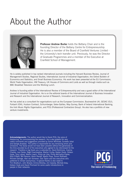## About the Author



**Professor Andrew Burke** holds the Bettany Chair and is the founding Director of the Bettany Centre for Entrepreneurship. He is also a member of the Board of Cranfield Ventures Limited the University's tech transfer unit. Previously, he was the Director of Graduate Programmes and a member of the Executive at Cranfield School of Management.

He is widely published in top ranked international journals including the Harvard Business Review, Journal of Management Studies, Regional Studies, International Journal of Industrial Organisation, the Oxford Bulletin of Economics and Statistics, and Small Business Economics. His work has been presented at the EU Commission, World Trade Organisation, HM Treasury, UK Houses of Commons and Lords as well as through media such as BBC Breakfast Television and the Working Lunch.

Andrew is founding editor of the International Review of Entrepreneurship and was a guest editor of the International Journal of Industrial Organisation. He is on the editorial boards of the International Journal of Business Innovation and Research and the International Journal of Research, Innovation and Commercialization.

He has acted as a consultant for organisations such as the European Commission, Businesslink UK, GESAC (EU), Forbairt (IDA), Hudson Contract, Schlumberger, Selex-Galileo, May Gurney, Bank of Ireland International Banking, the Irish Music Rights Organisation, and PCG (Professional Contractors Group). He also has a portfolio of new venture investments.

**Acknowledgements:** The author would like to thank PCG, the voice of freelancing, for commissioning the research. He is also grateful for very useful comments and suggestions provided by Simon McVicker, Suneeta Johal and George Anastasi. The author is responsible for any remaining errors and omissions. The study would not have been possible without the generosity of the time provided by all of the executives who agreed to be interviewed for the research. Therefore a big thank you is extended to: David Bullimore, Czarina Charles, Lee Clarke, Nigel Cowmeadow, Martyn Curley, Kealan Doyle, Gideon Hyde, Tony Lahert, Martin Leach, Philip de Lisle, Philip McCarthy-Clarke, Rick O'Neill, Bill Parsons, Kevin Perrett, Martin Pope, Simon Rothwell, Richard Salvage, Alex van Someren, Dan Taylor and two executives who preferred to remain anonymous. A special thanks is also owed to Tim Bradburn, John Brazier, Emma Brierley, Jim Cassidy, Michele Gray, Gideon Hyde and David Pinchard for some useful introductions to people in their networks.

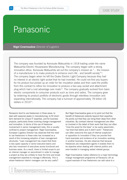### Panasonic

**Nigel Cowmeadow** *Director of Logistics*

The company was founded by Konosuke Matsushita in 1918 trading under the name Matsushita Electric Housewares Manufacturing. The company began with a strong innovation ethos. Konosuke Matsushita set out the company's mission as "... the mission of a manufacturer is to make products to enhance one's life - and benefit society"12. The company began when he left the Osako Electric Light Company because they had no interest in an electric light socket that he had invented. He could not find any buyers for his product but picked up an order for fan insulation plates and then used the profits from this contract to refine his innovation to produce a two-way socket and attachment plug which had a cost advantage over rivals $13$ . The company gradually evolved from basic electric components to consumer products such as irons and radios. The company grew by widening its product portfolio of electronic goods through relentless innovation and expanding internationally. The company had a turnover of approximately 78 billion US dollars in 201014.

Panasonic tend to use freelancers in three areas: to deal with seasonal peaks in manufacturing, to fill shortterm demand for unique IT expertise, and for business projects; particularly those involving change management and innovation. In terms of the use of freelancer involvement in senior management roles, this is usually confined to project management. Nigel Cowmeadow, European Logistics Director has observed that the need to use freelancers in these roles has increased as a result of the increasing adoption of lean management structures: "Lean management has meant that there is less spare capacity in senior executive teams and also less movement of executives across functional and business areas. As a result, there is limited scope to put an internal manager on secondment in order to manage a project as they are unlikely to have the time and broad management expertise to manage it effectively. This is where freelancer interim managers can be very useful".

But Nigel Cowmeadow goes on to point out that the benefit of freelancers extends beyond their expertise. He points out that they can bring fresh ideas from other industries. By contrast internal management are often so involved in the detail of their work that they can often "miss the wood for the trees" or be overly pessimistic; "we tried that before and it didn't work". Freelancers can often overcome this type of internal scepticism or opposition to innovation if they can provide firsthand examples and evidence of an innovation working in another business. He also observes that because freelancers are independent agents it enables them to be objective when dealing with internal politics and even-handed in managing vested interest groups.

Nigel Cowmeadow makes reference to a major technology change management programme at Panasonic UK as a good example of how freelancers can add value to a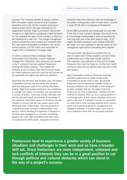business. The company decided to adopt a uniform SAP information system across all of its European operations and in the UK this involved replacing an existing system which had been developed by an independent provider. Nigel Cowmeadow likened that change to an organisation undergoing a heart transplant as "one essential life organ of the company is lifted out and replaced by a new one". The change management project involved the most complex and important KPIs. The risks were considerable as Panasonic UK had an annual turnover of £700 million and accounted for roughly 35% of Panasonic's European sales.

In order to overcome these challenges Nigel Cowmeadow hired Val Cross, a senior freelance manager from TopInterim, who previously had worked in the IT company that had supplied Panasonic's existing information systems. This enabled the company to put in place a high level technical expert at a senior executive level who could be fully focused on this specialist and highly risky technical operation.

Apart from the technical and business risks, the project necessitated winning over the hearts and minds of staff that had grown used to the existing information system. Nigel Cowmeadow decided to use a freelancer to manage the project. The decision was prompted by a number of factors. There was nobody internally who had the technical depth and breadth of knowledge of this particular information system to be able to provide direction to ensure that the new system would work effectively when implemented. This was going to be important because successful implementation was going to involve blending the expertise of Panasonic's business area managers (e.g. accounts, marketing, logistics etc.) with IBM consultants who were hired to implement the SAP system, alongside an internal

Panasonic team from Germany who had knowledge of the system working there. Each of these teams involved a rough 50:50 ratio of employees to freelancers.

As the IBM consultants were being paid on a day rate, it was key to have a project manager who would not be at a knowledge disadvantage in terms of ascertaining how long their part of the work ought to take. At its height, the IBM consultants were costing £250,000 per week, so it was important to get this aspect of cost management right without hampering their progress.

The new system was given a successful trial run over an Easter bank holiday weekend and then finally implemented over a May bank holiday weekend. The integration was delivered on time and on budget. Panasonic then hired Val Cross on a further two month contract to deal with any glitches that may arise in the new system.

Nigel Cowmeadow points out that that corporate executive careers tend to create narrow areas of expertise as people work in silos. By contrast freelancers tend to experience a greater variety of business situations and challenges in their work and so have a broader skill set. He argues that since freelancers are more independent, unbiased and lack conflicts of interests, they can be in a great position to cut through political and cultural obstacles which can stand in the way of a project's success. In summation, he notes that on finite business projects which require broad and impartial programme management and budgetary expertise, it usually makes more sense to use a freelancer rather than an employee executive.

**Freelancers tend to experience a greater variety of business situations and challenges in their work and so have a broader skill set. Since freelancers are more independent, unbiased and lack conflicts of interests they can be in a great position to cut through political and cultural obstacles which can stand in the way of a project's success.**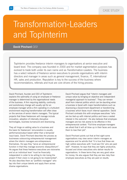# Transformation-Leaders and TopInterim

**David Pinchard** *CEO*

TopInterim provides freelance interim managers to organisations at senior executive and board level. The company was founded in 2000 and for market segmentation purposes has evolved to trade both under its own name and as Transformation-Leaders. The business has a select network of freelance senior executives to provide organisations with interim directors and manager in areas such as general management, finance, IT, international HR, sales and production. Reputation is key to the success of the business where recommendations, referrals and trust are core drivers of the hiring process.

David Pinchard, founder and CEO of TopInterim explains the optimality of using an employee or freelance manager is determined by the organisational needs of the business. A firm requiring stability, continuity and evolutionary change will usually opt for an employee-manager while a firm operating in a turbulent environment requiring transformation will often draw on the services of senior interim managers. The typical projects that these freelancers will manage include innovation, adoption of internally disruptive technologies, business turnaround and downsizing.

They all hinge on adding value to a business and the basis for freelancers' remuneration is usually performance/output based rather than a temporal/ input basis. David Pinchard describes the process as businesses outsourcing entrepreneurial management where the interim managers are entrepreneurs themselves. He says they "serve an entrepreneurial function in that they manage economic disequilibrium". He argues that these freelance executives are visionaries and at an individual level "must be financially independent in order to be willing to risk losing the project if their vision is not going to be implemented". He also describes them as "portfolio managers" who tap into their unique talents and apply them across diverse organisations.

David Pinchard argues that "interim managers add unique value by bringing an objective and independent managerial approach to business". They can remain aloof from internal politics which can be daunting when a business is faced with major transformations such as downsizing a Government department or transforming a business which faces much internal opposition. David Pinchard contrasts this with employee executives "who are too tied-up with internal politics and have a vested interest in the outcome". He also believes that employeemanagers are too risk averse to be effective in this entrepreneurial context: "Full-time employee-managers are afraid that it will all blow up in their faces and cause them to lose their job".

David Pinchard points out that at first sight some organisations may view senior interim managers as expensive and he admits that "it is true that these are high calibre executives with 'must-see CVs' who are paid well". However, he says that they are highly productive, focused and driven executives who deliver results for organisations. In these terms they are very good value for money. He also argues that they are less risky than employee executives as they are paid on results.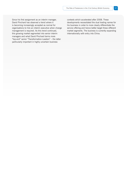Since his first assignment as an interim manager, David Pinchard has observed a trend where it is becoming increasingly accepted as normal for organisations to hire an interim executive when change management is required. As this trend continued, this growing market segmented into senior interim managers and what David Pinchard terms more "top-end" senior "Transformation-Leaders" – the latter particularly important in highly uncertain business

contexts which accelerated after 2008. These developments necessitated the dual trading names for his business in order to more clearly differentiate the service offering and hence better target these different market segments. The business is currently expanding internationally with entry into China.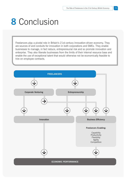## **8** Conclusion

Freelancers play a pivotal role in Britain's 21st century innovation-driven economy. They are sources of and conduits for innovation in both corporations and SMEs. They enable businesses to manage, in fact reduce, entrepreneurial risk and so promote innovation and enterprise. They also liberate businesses from the limits of their internal resource base and enable the use of exceptional talent that would otherwise not be economically feasible to hire on employee contracts.